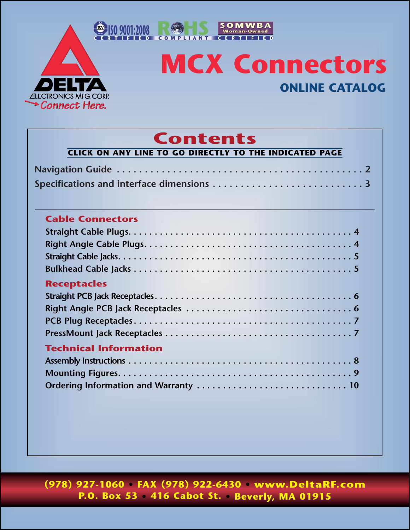<span id="page-0-0"></span>

# **MCX Connectors ONLINE CATALOG**

SOMWBA<br>Woman-Owned

ΓΟΕ

## **Contents**

| <b>Cable Connectors</b>               |  |
|---------------------------------------|--|
|                                       |  |
|                                       |  |
|                                       |  |
|                                       |  |
| <b>Receptacles</b>                    |  |
|                                       |  |
|                                       |  |
|                                       |  |
|                                       |  |
|                                       |  |
| <b>Technical Information</b>          |  |
|                                       |  |
|                                       |  |
| Ordering Information and Warranty  10 |  |

**(978) 927-1060 • FAX (978) 922-6430 • www.DeltaRF.com P.O. Box 53 • 416 Cabot St. • Beverly, MA 01915**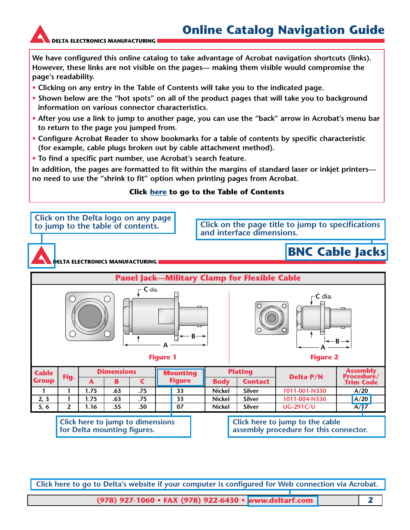<span id="page-1-0"></span>

**We have configured this online catalog to take advantage of Acrobat navigation shortcuts (links). However, these links are not visible on the pages— making them visible would compromise the page's readability.**

- **Clicking on any entry in the Table of Contents will take you to the indicated page.**
- **Shown below are the "hot spots" on all of the product pages that will take you to background information on various connector characteristics.**
- **After you use a link to jump to another page, you can use the "back" arrow in Acrobat's menu bar to return to the page you jumped from.**
- **Configure Acrobat Reader to show bookmarks for a table of contents by specific characteristic (for example, cable plugs broken out by cable attachment method).**
- **To find a specific part number, use Acrobat's search feature.**

**In addition, the pages are formatted to fit within the margins of standard laser or inkjet printers no need to use the "shrink to fit" option when printing pages from Acrobat.**

#### **Click here [to go to the Table of Contents](#page-0-0)**



**Click here to go to Delta's website if your computer is configured for Web connection via Acrobat.**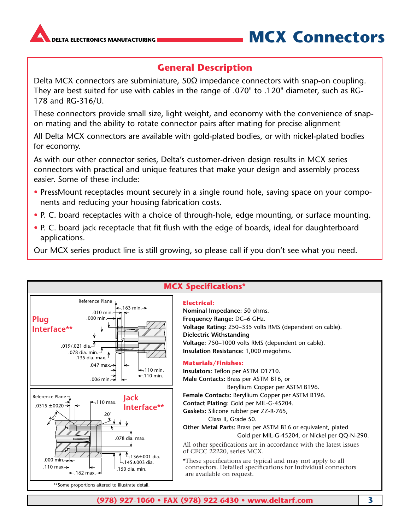<span id="page-2-0"></span>

### TA ELECTRONICS MANUFACTURING **MULLER AREA EXECTED TO A LIGACY CONNECTORS**

### **General Description**

Delta MCX connectors are subminiature,  $50\Omega$  impedance connectors with snap-on coupling. They are best suited for use with cables in the range of .070" to .120" diameter, such as RG-178 and RG-316/U.

These connectors provide small size, light weight, and economy with the convenience of snapon mating and the ability to rotate connector pairs after mating for precise alignment

All Delta MCX connectors are available with gold-plated bodies, or with nickel-plated bodies for economy.

As with our other connector series, Delta's customer-driven design results in MCX series connectors with practical and unique features that make your design and assembly process easier. Some of these include:

- PressMount receptacles mount securely in a single round hole, saving space on your components and reducing your housing fabrication costs.
- P. C. board receptacles with a choice of through-hole, edge mounting, or surface mounting.
- P. C. board jack receptacle that fit flush with the edge of boards, ideal for daughterboard applications.

Our MCX series product line is still growing, so please call if you don't see what you need.

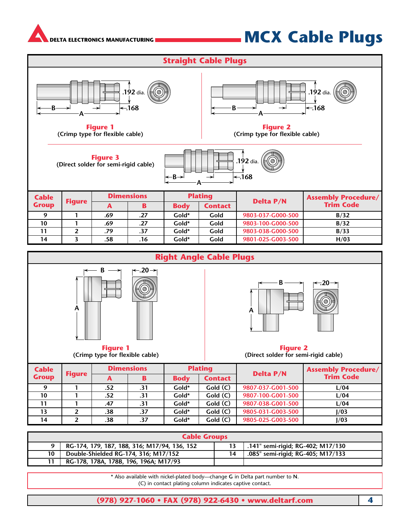## **MCX Cable Plugs**

<span id="page-3-0"></span>

\* Also available with nickel-plated body—change **G** in Delta part number to **N**. (C) in contact plating column indicates captive contact.

**11 RG-178, 178A, 178B, 196, 196A; M17/93**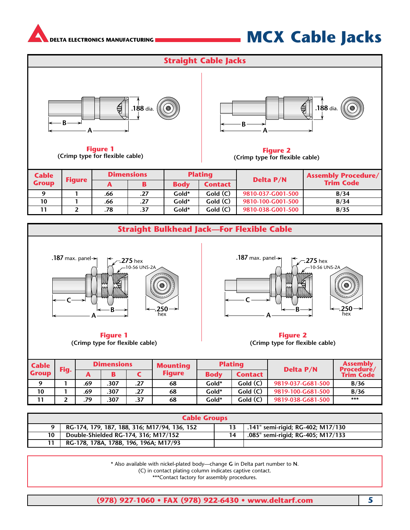<span id="page-4-0"></span>

## **MCX Cable Jacks**





| <b>Cable</b><br>Fig. |  | <b>Dimensions</b> |      |     | <b>Mounting</b> | <b>Plating</b> |                | <b>Delta P/N</b>  | <b>Assembly</b><br><b>Procedure/</b> |  |
|----------------------|--|-------------------|------|-----|-----------------|----------------|----------------|-------------------|--------------------------------------|--|
| <b>Group</b>         |  | m                 |      |     | <b>Figure</b>   | <b>Body</b>    | <b>Contact</b> |                   | <b>Trim Code</b>                     |  |
|                      |  | .69               | .307 | .27 | 68              | Gold*          | Gold(C)        | 9819-037-G681-500 | B/36                                 |  |
| 10                   |  | .69               | .307 | .27 | 68              | Gold*          | Gold(C)        | 9819-100-G681-500 | B/36                                 |  |
|                      |  | .79               | .307 | .37 | 68              | Gold*          | Gold(C)        | 9819-038-G681-500 | ***                                  |  |

|    | <b>Cable Groups</b>                          |    |                                   |
|----|----------------------------------------------|----|-----------------------------------|
|    | RG-174, 179, 187, 188, 316; M17/94, 136, 152 |    | .141" semi-rigid; RG-402; M17/130 |
| 10 | Double-Shielded RG-174, 316; M17/152         | 14 | .085" semi-rigid; RG-405; M17/133 |
| 11 | RG-178, 178A, 178B, 196, 196A; M17/93        |    |                                   |

\* Also available with nickel-plated body—change **G** in Delta part number to **N**.

(C) in contact plating column indicates captive contact.

\*\*\*Contact factory for assembly procedures.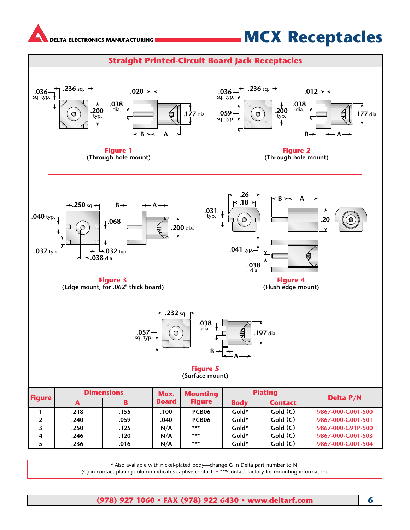<span id="page-5-0"></span>

## **MCX Receptacles**



\* Also available with nickel-plated body—change **G** in Delta part number to **N**.

(C) in contact plating column indicates captive contact. • \*\*\*Contact factory for mounting information.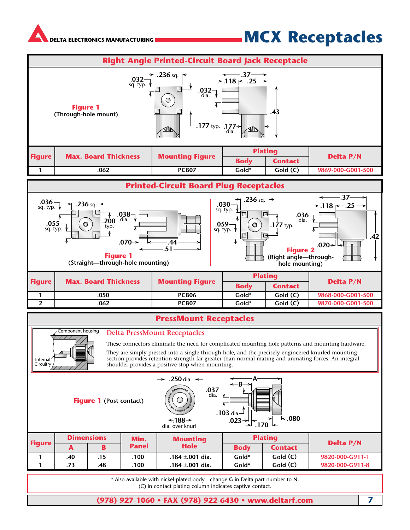## **MCX Receptacles**

<span id="page-6-0"></span>

#### **PressMount Receptacles**



#### **Delta PressMount Receptacles**

These connectors eliminate the need for complicated mounting hole patterns and mounting hardware.

They are simply pressed into a single through hole, and the precisely-engineered knurled mounting section provides retention strength far greater than normal mating and unmating forces. An integral shoulder provides a positive stop when mounting.

**Figure 1 (Post contact)**



| <b>Figure</b> |     | <b>Dimensions</b> | Min.         | <b>Mounting</b>      |             | <b>Plating</b> | <b>Delta P/N</b> |
|---------------|-----|-------------------|--------------|----------------------|-------------|----------------|------------------|
|               |     |                   | <b>Panel</b> | <b>Hole</b>          | <b>Body</b> | <b>Contact</b> |                  |
|               | .40 |                   | 100          | .184 $\pm$ .001 dia. | Gold*       | Gold(C)        | 9820-000-G911-1  |
|               |     | .48               | 100          | .184 ±.001 dia.      | Gold*       | Gold(C)        | 9820-000-G911-8  |

\* Also available with nickel-plated body—change **G** in Delta part number to **N**. (C) in contact plating column indicates captive contact.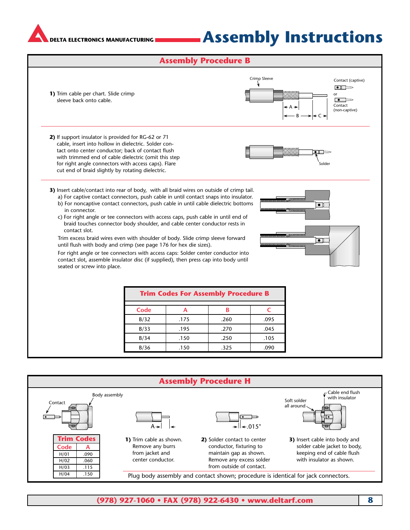## **Assembly Instructions**

#### **Assembly Procedure B**

<span id="page-7-0"></span>

![](_page_7_Figure_4.jpeg)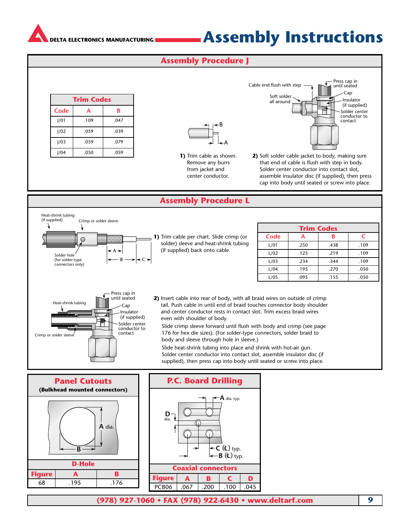## **Assembly Instructions**

#### **Assembly Procedure J**

<span id="page-8-0"></span>

| <b>Trim Codes</b> |      |      |  |  |  |
|-------------------|------|------|--|--|--|
| Code              | А    | B    |  |  |  |
| 1/01              | .109 | .047 |  |  |  |
| 1/02              | .059 | .039 |  |  |  |
| 1/03              | .059 | .079 |  |  |  |
| 1/04              | .050 | .059 |  |  |  |

A B

**1)** Trim cable as shown. Remove any burrs from jacket and center conductor.

Soft solder all around Solder center conductor to contact Cable end flush with step  $\overline{\phantom{a}}$  Press cap in until seated Cap Insulator (if supplied)

**2)** Soft solder cable jacket to body, making sure that end of cable is flush with step in body. Solder center conductor into contact slot, assemble insulator disc (if supplied), then press cap into body until seated or screw into place.

#### **Assembly Procedure L**

![](_page_8_Figure_9.jpeg)

![](_page_8_Figure_10.jpeg)

![](_page_8_Figure_11.jpeg)